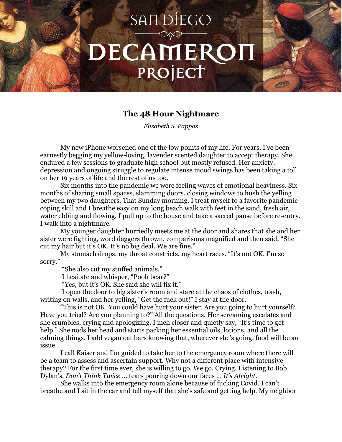## **SANDIEGO** DECAMEROI PROJECT

## **The 48 Hour Nightmare**

*Elizabeth S. Pappas*

My new iPhone worsened one of the low points of my life. For years, I've been earnestly begging my yellow-loving, lavender scented daughter to accept therapy. She endured a few sessions to graduate high school but mostly refused. Her anxiety, depression and ongoing struggle to regulate intense mood swings has been taking a toll on her 19 years of life and the rest of us too.

Six months into the pandemic we were feeling waves of emotional heaviness. Six months of sharing small spaces, slamming doors, closing windows to hush the yelling between my two daughters. That Sunday morning, I treat myself to a favorite pandemic coping skill and I breathe easy on my long beach walk with feet in the sand, fresh air, water ebbing and flowing. I pull up to the house and take a sacred pause before re-entry. I walk into a nightmare.

My younger daughter hurriedly meets me at the door and shares that she and her sister were fighting, word daggers thrown, comparisons magnified and then said, "She cut my hair but it's OK. It's no big deal. We are fine."

My stomach drops, my throat constricts, my heart races. "It's not OK, I'm so sorry.'

"She also cut my stuffed animals."

I hesitate and whisper, "Pooh bear?"

"Yes, but it's OK. She said she will fix it."

I open the door to big sister's room and stare at the chaos of clothes, trash, writing on walls, and her yelling, "Get the fuck out!" I stay at the door.

"This is not OK. You could have hurt your sister. Are you going to hurt yourself? Have you tried? Are you planning to?" All the questions. Her screaming escalates and she crumbles, crying and apologizing. I inch closer and quietly say, "It's time to get help." She nods her head and starts packing her essential oils, lotions, and all the calming things. I add vegan oat bars knowing that, wherever she's going, food will be an issue.

I call Kaiser and I'm guided to take her to the emergency room where there will be a team to assess and ascertain support. Why not a different place with intensive therapy? For the first time ever, she is willing to go. We go. Crying. Listening to Bob Dylan's, *Don't Think Twice* … tears pouring down our faces … *It's Alright.*

She walks into the emergency room alone because of fucking Covid. I can't breathe and I sit in the car and tell myself that she's safe and getting help. My neighbor